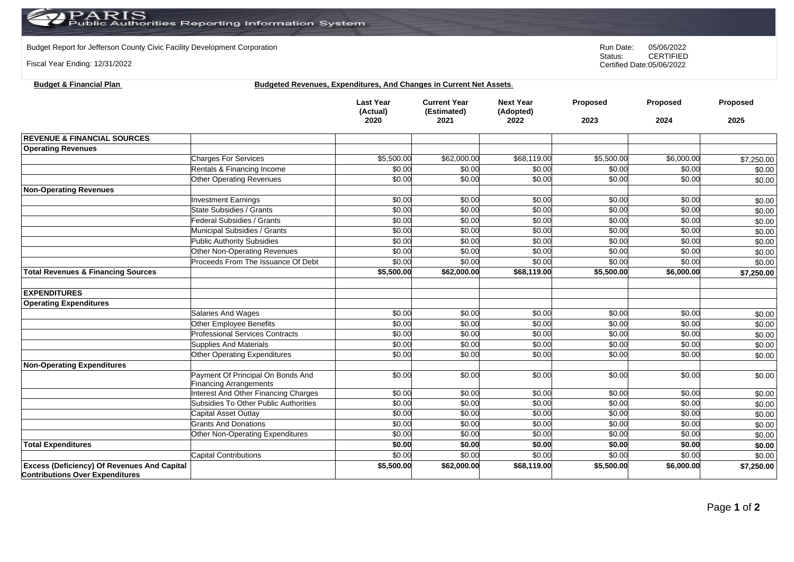Budget Report for Jefferson County Civic Facility Development Corporation **Run Date:** 05/06/2022<br>Status: CERTIFIED

Fiscal Year Ending: 12/31/2022

CERTIFIED Certified Date:05/06/2022

| <b>Budget &amp; Financial Plan</b> | <b>Budgeted Revenues, Expenditures, And Changes in Current Net Assets.</b> |  |
|------------------------------------|----------------------------------------------------------------------------|--|
|                                    |                                                                            |  |

|                                                                                              |                                        | <b>Last Year</b><br>(Actual)<br>2020 | <b>Current Year</b><br>(Estimated)<br>2021 | <b>Next Year</b><br>(Adopted)<br>2022 | Proposed<br>2023 | Proposed<br>2024 | Proposed<br>2025 |
|----------------------------------------------------------------------------------------------|----------------------------------------|--------------------------------------|--------------------------------------------|---------------------------------------|------------------|------------------|------------------|
| <b>REVENUE &amp; FINANCIAL SOURCES</b>                                                       |                                        |                                      |                                            |                                       |                  |                  |                  |
| <b>Operating Revenues</b>                                                                    |                                        |                                      |                                            |                                       |                  |                  |                  |
|                                                                                              | <b>Charges For Services</b>            | \$5,500.00                           | \$62,000.00                                | \$68,119.00                           | \$5,500.00       | \$6,000.00       | \$7,250.00       |
|                                                                                              | Rentals & Financing Income             | \$0.00                               | \$0.00                                     | \$0.00                                | \$0.00           | \$0.00           | \$0.00           |
|                                                                                              | <b>Other Operating Revenues</b>        | \$0.00                               | \$0.00                                     | \$0.00                                | \$0.00           | \$0.00           | \$0.00           |
| <b>Non-Operating Revenues</b>                                                                |                                        |                                      |                                            |                                       |                  |                  |                  |
|                                                                                              | <b>Investment Earnings</b>             | \$0.00                               | \$0.00                                     | \$0.00                                | \$0.00           | \$0.00           | \$0.00           |
|                                                                                              | State Subsidies / Grants               | \$0.00                               | \$0.00                                     | \$0.00                                | \$0.00           | \$0.00           | \$0.00           |
|                                                                                              | Federal Subsidies / Grants             | \$0.00                               | \$0.00                                     | \$0.00                                | \$0.00           | \$0.00           | \$0.00           |
|                                                                                              | Municipal Subsidies / Grants           | \$0.00                               | \$0.00                                     | \$0.00                                | \$0.00           | \$0.00           | \$0.00           |
|                                                                                              | <b>Public Authority Subsidies</b>      | \$0.00                               | \$0.00                                     | \$0.00                                | \$0.00           | \$0.00           | \$0.00           |
|                                                                                              | Other Non-Operating Revenues           | \$0.00                               | \$0.00                                     | \$0.00                                | \$0.00           | \$0.00           | \$0.00           |
|                                                                                              | Proceeds From The Issuance Of Debt     | \$0.00                               | \$0.00                                     | \$0.00                                | \$0.00           | \$0.00           | \$0.00           |
| <b>Total Revenues &amp; Financing Sources</b>                                                |                                        | \$5,500.00                           | \$62,000.00                                | \$68,119.00                           | \$5,500.00       | \$6,000.00       | \$7,250.00       |
| <b>EXPENDITURES</b>                                                                          |                                        |                                      |                                            |                                       |                  |                  |                  |
| <b>Operating Expenditures</b>                                                                |                                        |                                      |                                            |                                       |                  |                  |                  |
|                                                                                              | Salaries And Wages                     | \$0.00                               | \$0.00                                     | \$0.00                                | \$0.00           | \$0.00           | \$0.00           |
|                                                                                              | Other Employee Benefits                | \$0.00                               | \$0.00                                     | \$0.00                                | \$0.00           | \$0.00           | \$0.00           |
|                                                                                              | <b>Professional Services Contracts</b> | \$0.00                               | \$0.00                                     | \$0.00                                | \$0.00           | \$0.00           | \$0.00           |
|                                                                                              | Supplies And Materials                 | \$0.00                               | \$0.00                                     | \$0.00                                | \$0.00           | \$0.00           | \$0.00           |
|                                                                                              | Other Operating Expenditures           | \$0.00                               | \$0.00                                     | \$0.00                                | \$0.00           | \$0.00           | \$0.00           |
| <b>Non-Operating Expenditures</b>                                                            |                                        |                                      |                                            |                                       |                  |                  |                  |
|                                                                                              | Payment Of Principal On Bonds And      | \$0.00                               | \$0.00                                     | \$0.00                                | \$0.00           | \$0.00           | \$0.00           |
|                                                                                              | <b>Financing Arrangements</b>          |                                      |                                            |                                       |                  |                  |                  |
|                                                                                              | Interest And Other Financing Charges   | \$0.00                               | \$0.00                                     | \$0.00                                | \$0.00           | \$0.00           | \$0.00           |
|                                                                                              | Subsidies To Other Public Authorities  | \$0.00                               | \$0.00                                     | \$0.00                                | \$0.00           | \$0.00           | \$0.00           |
|                                                                                              | Capital Asset Outlay                   | \$0.00                               | \$0.00                                     | \$0.00                                | \$0.00           | \$0.00           | \$0.00           |
|                                                                                              | <b>Grants And Donations</b>            | \$0.00                               | \$0.00                                     | \$0.00                                | \$0.00           | \$0.00           | \$0.00           |
|                                                                                              | Other Non-Operating Expenditures       | \$0.00                               | \$0.00                                     | \$0.00                                | \$0.00           | \$0.00           | \$0.00           |
| <b>Total Expenditures</b>                                                                    |                                        | \$0.00                               | \$0.00                                     | \$0.00                                | \$0.00           | \$0.00           | \$0.00           |
|                                                                                              | <b>Capital Contributions</b>           | \$0.00                               | \$0.00                                     | \$0.00                                | \$0.00           | \$0.00           | \$0.00           |
| <b>Excess (Deficiency) Of Revenues And Capital</b><br><b>Contributions Over Expenditures</b> |                                        | \$5,500.00                           | \$62,000.00                                | \$68,119.00                           | \$5,500.00       | \$6,000.00       | \$7,250.00       |